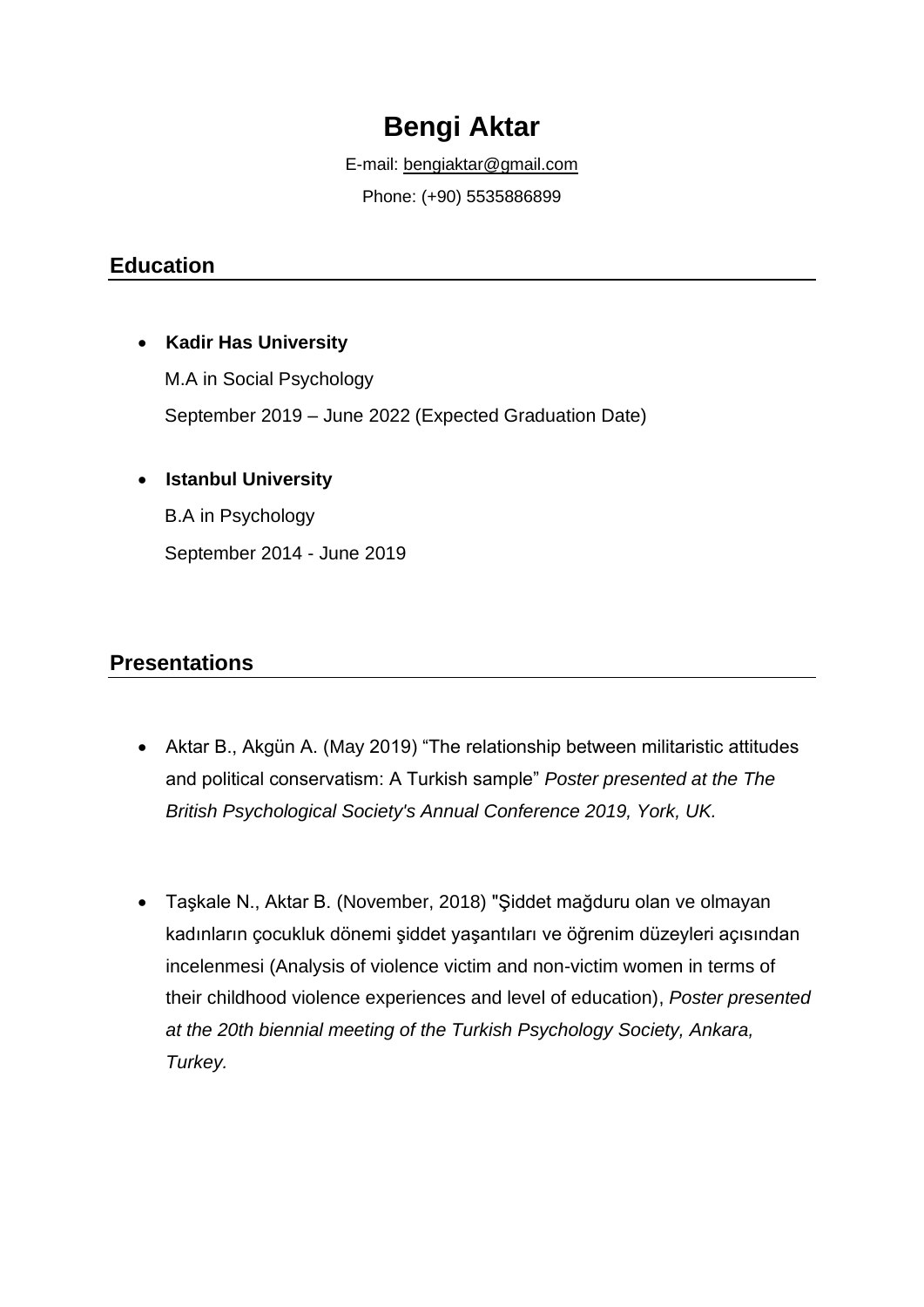# **Bengi Aktar**

E-mail: [bengiaktar@gmail.com](mailto:bengiaktar@gmail.com) Phone: (+90) 5535886899

## **Education**

#### • **Kadir Has University**

M.A in Social Psychology September 2019 – June 2022 (Expected Graduation Date)

#### • **Istanbul University**

B.A in Psychology September 2014 - June 2019

## **Presentations**

- Aktar B., Akgün A. (May 2019) "The relationship between militaristic attitudes and political conservatism: A Turkish sample" *Poster presented at the The British Psychological Society's Annual Conference 2019, York, UK.*
- Taşkale N., Aktar B. (November, 2018) "Şiddet mağduru olan ve olmayan kadınların çocukluk dönemi şiddet yaşantıları ve öğrenim düzeyleri açısından incelenmesi (Analysis of violence victim and non-victim women in terms of their childhood violence experiences and level of education), *Poster presented at the 20th biennial meeting of the Turkish Psychology Society, Ankara, Turkey.*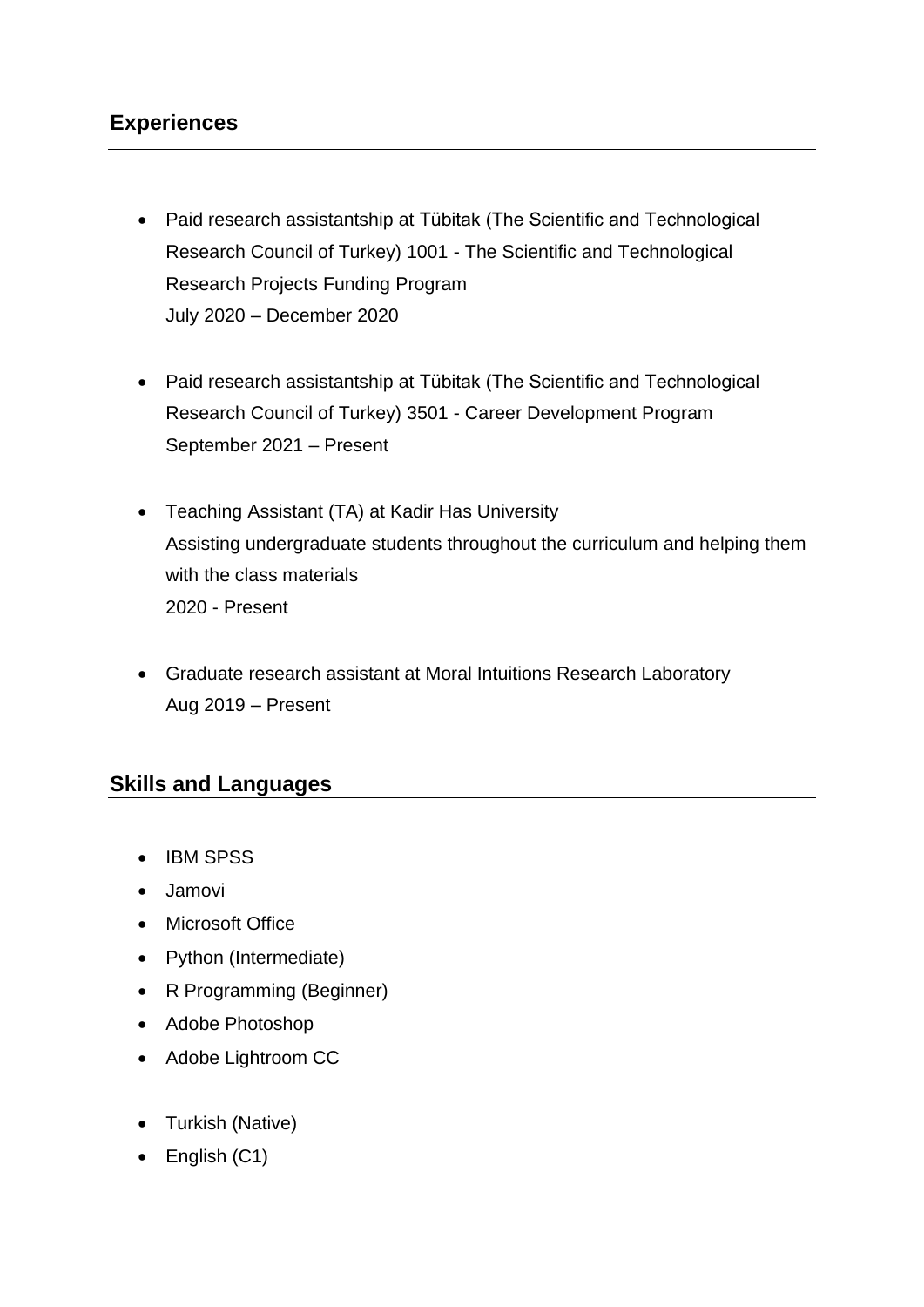## **Experiences**

- Paid research assistantship at Tübitak (The Scientific and Technological Research Council of Turkey) 1001 - The Scientific and Technological Research Projects Funding Program July 2020 – December 2020
- Paid research assistantship at Tübitak (The Scientific and Technological Research Council of Turkey) 3501 - Career Development Program September 2021 – Present
- Teaching Assistant (TA) at Kadir Has University Assisting undergraduate students throughout the curriculum and helping them with the class materials 2020 - Present
- Graduate research assistant at Moral Intuitions Research Laboratory Aug 2019 – Present

#### **Skills and Languages**

- IBM SPSS
- Jamovi
- Microsoft Office
- Python (Intermediate)
- R Programming (Beginner)
- Adobe Photoshop
- Adobe Lightroom CC
- Turkish (Native)
- English (C1)